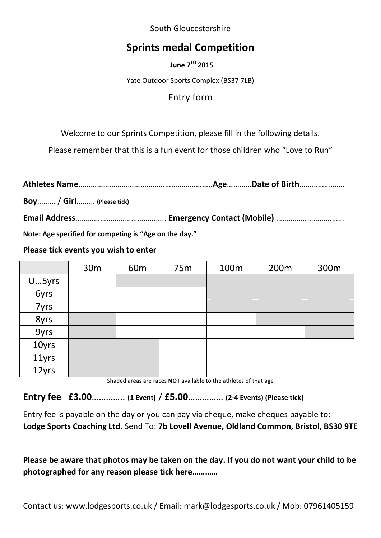South Gloucestershire

# **Sprints medal Competition**

**June 7<sup>TH</sup> 2015** 

Yate Outdoor Sports Complex (BS37 7LB)

## Entry form

Welcome to our Sprints Competition, please fill in the following details.

Please remember that this is a fun event for those children who "Love to Run"

**Athletes(Name**………………………………………………………..**Age**…………**Date(of(Birth**………………….

**Boy………/ Girl………** (Please tick)

**Email(Address**…………………………………….. **Emergency(Contact (Mobile)** ……………………………

Note: Age specified for competing is "Age on the day."

#### Please tick events you wish to enter

|                   | 30 <sub>m</sub> | 60 <sub>m</sub> | 75 <sub>m</sub> | 100m | 200 <sub>m</sub> | 300m |
|-------------------|-----------------|-----------------|-----------------|------|------------------|------|
| U5yrs             |                 |                 |                 |      |                  |      |
| 6yrs              |                 |                 |                 |      |                  |      |
| 7yrs              |                 |                 |                 |      |                  |      |
| 8yrs              |                 |                 |                 |      |                  |      |
| $\frac{1}{9}$ yrs |                 |                 |                 |      |                  |      |
| 10yrs             |                 |                 |                 |      |                  |      |
| 11yrs             |                 |                 |                 |      |                  |      |
| 12yrs             |                 |                 |                 |      |                  |      |

Shaded areas are races **NOT** available to the athletes of that age

#### **Entry fee £3.00**………….. (1 Event) / **£5.00**…………… (2-4 Events) (Please tick)

Entry fee is payable on the day or you can pay via cheque, make cheques payable to: Lodge Sports Coaching Ltd. Send To: 7b Lovell Avenue, Oldland Common, Bristol, BS30 9TE

Please be aware that photos may be taken on the day. If you do not want your child to be photographed for any reason please tick here............

Contact us: www.lodgesports.co.uk / Email: mark@lodgesports.co.uk / Mob: 07961405159